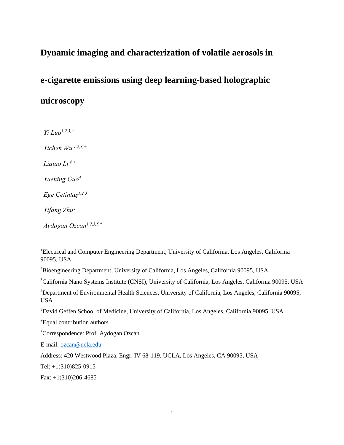## **Dynamic imaging and characterization of volatile aerosols in**

# **e-cigarette emissions using deep learning-based holographic**

## **microscopy**

*Yi Luo1,2,3,+ Yichen Wu 1,2,3,+ Liqiao Li 4,+ Yuening Guo<sup>4</sup> Ege Çetintaş1,2,3 Yifang Zhu<sup>4</sup> Aydogan Ozcan1,2,3,5,\**

<sup>1</sup>Electrical and Computer Engineering Department, University of California, Los Angeles, California 90095, USA

<sup>2</sup>Bioengineering Department, University of California, Los Angeles, California 90095, USA

<sup>3</sup>California Nano Systems Institute (CNSI), University of California, Los Angeles, California 90095, USA

<sup>4</sup>Department of Environmental Health Sciences, University of California, Los Angeles, California 90095, USA

<sup>5</sup>David Geffen School of Medicine, University of California, Los Angeles, California 90095, USA

<sup>+</sup>Equal contribution authors

\*Correspondence: Prof. Aydogan Ozcan

E-mail: [ozcan@ucla.edu](mailto:ozcan@ucla.edu)

Address: 420 Westwood Plaza, Engr. IV 68-119, UCLA, Los Angeles, CA 90095, USA

Tel: +1(310)825-0915

Fax: +1(310)206-4685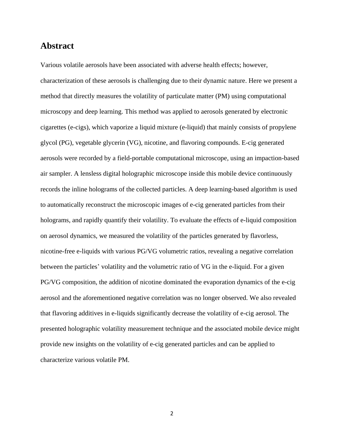### **Abstract**

Various volatile aerosols have been associated with adverse health effects; however, characterization of these aerosols is challenging due to their dynamic nature. Here we present a method that directly measures the volatility of particulate matter (PM) using computational microscopy and deep learning. This method was applied to aerosols generated by electronic cigarettes (e-cigs), which vaporize a liquid mixture (e-liquid) that mainly consists of propylene glycol (PG), vegetable glycerin (VG), nicotine, and flavoring compounds. E-cig generated aerosols were recorded by a field-portable computational microscope, using an impaction-based air sampler. A lensless digital holographic microscope inside this mobile device continuously records the inline holograms of the collected particles. A deep learning-based algorithm is used to automatically reconstruct the microscopic images of e-cig generated particles from their holograms, and rapidly quantify their volatility. To evaluate the effects of e-liquid composition on aerosol dynamics, we measured the volatility of the particles generated by flavorless, nicotine-free e-liquids with various PG/VG volumetric ratios, revealing a negative correlation between the particles' volatility and the volumetric ratio of VG in the e-liquid. For a given PG/VG composition, the addition of nicotine dominated the evaporation dynamics of the e-cig aerosol and the aforementioned negative correlation was no longer observed. We also revealed that flavoring additives in e-liquids significantly decrease the volatility of e-cig aerosol. The presented holographic volatility measurement technique and the associated mobile device might provide new insights on the volatility of e-cig generated particles and can be applied to characterize various volatile PM.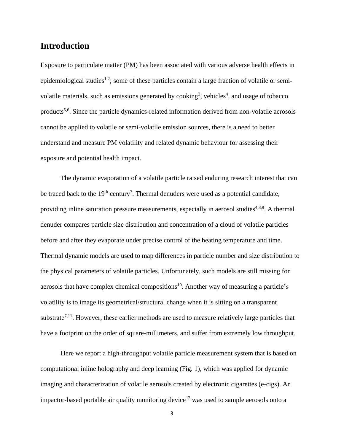### **Introduction**

Exposure to particulate matter (PM) has been associated with various adverse health effects in epidemiological studies<sup>1,2</sup>; some of these particles contain a large fraction of volatile or semivolatile materials, such as emissions generated by cooking<sup>3</sup>, vehicles<sup>4</sup>, and usage of tobacco products<sup>5,6</sup>. Since the particle dynamics-related information derived from non-volatile aerosols cannot be applied to volatile or semi-volatile emission sources, there is a need to better understand and measure PM volatility and related dynamic behaviour for assessing their exposure and potential health impact.

The dynamic evaporation of a volatile particle raised enduring research interest that can be traced back to the 19<sup>th</sup> century<sup>7</sup>. Thermal denuders were used as a potential candidate, providing inline saturation pressure measurements, especially in aerosol studies<sup>4,8,9</sup>. A thermal denuder compares particle size distribution and concentration of a cloud of volatile particles before and after they evaporate under precise control of the heating temperature and time. Thermal dynamic models are used to map differences in particle number and size distribution to the physical parameters of volatile particles. Unfortunately, such models are still missing for aerosols that have complex chemical compositions<sup>10</sup>. Another way of measuring a particle's volatility is to image its geometrical/structural change when it is sitting on a transparent substrate<sup>7,11</sup>. However, these earlier methods are used to measure relatively large particles that have a footprint on the order of square-millimeters, and suffer from extremely low throughput.

Here we report a high-throughput volatile particle measurement system that is based on computational inline holography and deep learning (Fig. 1), which was applied for dynamic imaging and characterization of volatile aerosols created by electronic cigarettes (e-cigs). An impactor-based portable air quality monitoring device<sup>12</sup> was used to sample aerosols onto a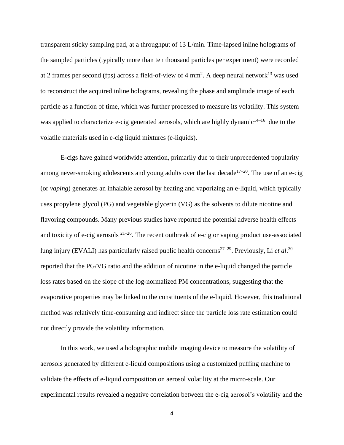transparent sticky sampling pad, at a throughput of 13 L/min. Time-lapsed inline holograms of the sampled particles (typically more than ten thousand particles per experiment) were recorded at 2 frames per second (fps) across a field-of-view of 4 mm<sup>2</sup>. A deep neural network<sup>13</sup> was used to reconstruct the acquired inline holograms, revealing the phase and amplitude image of each particle as a function of time, which was further processed to measure its volatility. This system was applied to characterize e-cig generated aerosols, which are highly dynamic<sup>14–16</sup> due to the volatile materials used in e-cig liquid mixtures (e-liquids).

E-cigs have gained worldwide attention, primarily due to their unprecedented popularity among never-smoking adolescents and young adults over the last decade  $17-20$ . The use of an e-cig (or *vaping*) generates an inhalable aerosol by heating and vaporizing an e-liquid, which typically uses propylene glycol (PG) and vegetable glycerin (VG) as the solvents to dilute nicotine and flavoring compounds. Many previous studies have reported the potential adverse health effects and toxicity of e-cig aerosols  $2^{1-26}$ . The recent outbreak of e-cig or vaping product use-associated lung injury (EVALI) has particularly raised public health concerns<sup>27–29</sup>. Previously, Li *et al.*<sup>30</sup> reported that the PG/VG ratio and the addition of nicotine in the e-liquid changed the particle loss rates based on the slope of the log-normalized PM concentrations, suggesting that the evaporative properties may be linked to the constituents of the e-liquid. However, this traditional method was relatively time-consuming and indirect since the particle loss rate estimation could not directly provide the volatility information.

In this work, we used a holographic mobile imaging device to measure the volatility of aerosols generated by different e-liquid compositions using a customized puffing machine to validate the effects of e-liquid composition on aerosol volatility at the micro-scale. Our experimental results revealed a negative correlation between the e-cig aerosol's volatility and the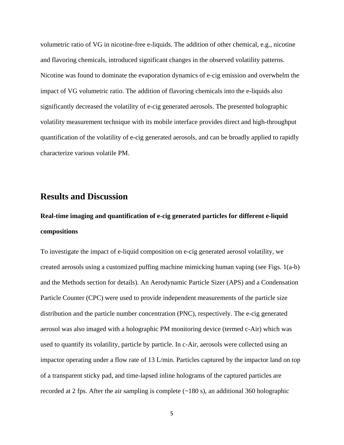volumetric ratio of VG in nicotine-free e-liquids. The addition of other chemical, e.g., nicotine and flavoring chemicals, introduced significant changes in the observed volatility patterns. Nicotine was found to dominate the evaporation dynamics of e-cig emission and overwhelm the impact of VG volumetric ratio. The addition of flavoring chemicals into the e-liquids also significantly decreased the volatility of e-cig generated aerosols. The presented holographic volatility measurement technique with its mobile interface provides direct and high-throughput quantification of the volatility of e-cig generated aerosols, and can be broadly applied to rapidly characterize various volatile PM.

### **Results and Discussion**

# **Real-time imaging and quantification of e-cig generated particles for different e-liquid compositions**

To investigate the impact of e-liquid composition on e-cig generated aerosol volatility, we created aerosols using a customized puffing machine mimicking human vaping (see Figs. 1(a-b) and the Methods section for details). An Aerodynamic Particle Sizer (APS) and a Condensation Particle Counter (CPC) were used to provide independent measurements of the particle size distribution and the particle number concentration (PNC), respectively. The e-cig generated aerosol was also imaged with a holographic PM monitoring device (termed c-Air) which was used to quantify its volatility, particle by particle. In c-Air, aerosols were collected using an impactor operating under a flow rate of 13 L/min. Particles captured by the impactor land on top of a transparent sticky pad, and time-lapsed inline holograms of the captured particles are recorded at 2 fps. After the air sampling is complete  $(\sim 180 \text{ s})$ , an additional 360 holographic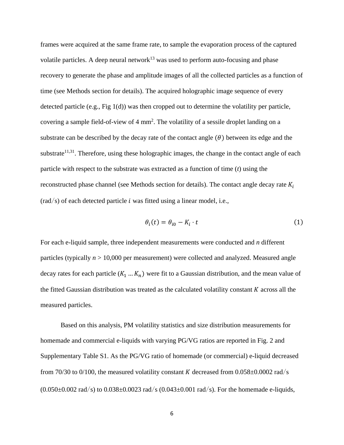frames were acquired at the same frame rate, to sample the evaporation process of the captured volatile particles. A deep neural network<sup>13</sup> was used to perform auto-focusing and phase recovery to generate the phase and amplitude images of all the collected particles as a function of time (see Methods section for details). The acquired holographic image sequence of every detected particle (e.g., Fig  $1(d)$ ) was then cropped out to determine the volatility per particle, covering a sample field-of-view of 4 mm<sup>2</sup>. The volatility of a sessile droplet landing on a substrate can be described by the decay rate of the contact angle  $(\theta)$  between its edge and the substrate<sup>11,31</sup>. Therefore, using these holographic images, the change in the contact angle of each particle with respect to the substrate was extracted as a function of time (*t*) using the reconstructed phase channel (see Methods section for details). The contact angle decay rate  $K_i$  $\text{(rad/s)}$  of each detected particle *i* was fitted using a linear model, i.e.,

$$
\theta_i(t) = \theta_{i0} - K_i \cdot t \tag{1}
$$

For each e-liquid sample, three independent measurements were conducted and *n* different particles (typically  $n > 10,000$  per measurement) were collected and analyzed. Measured angle decay rates for each particle  $(K_1 ... K_n)$  were fit to a Gaussian distribution, and the mean value of the fitted Gaussian distribution was treated as the calculated volatility constant  $K$  across all the measured particles.

Based on this analysis, PM volatility statistics and size distribution measurements for homemade and commercial e-liquids with varying PG/VG ratios are reported in Fig. 2 and Supplementary Table S1. As the PG/VG ratio of homemade (or commercial) e-liquid decreased from 70/30 to 0/100, the measured volatility constant K decreased from  $0.058\pm0.0002$  rad/s  $(0.050\pm0.002 \text{ rad/s})$  to  $0.038\pm0.0023 \text{ rad/s}$   $(0.043\pm0.001 \text{ rad/s})$ . For the homemade e-liquids,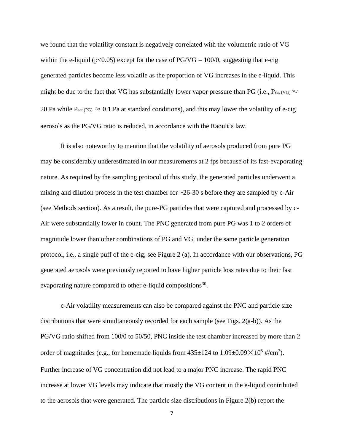we found that the volatility constant is negatively correlated with the volumetric ratio of VG within the e-liquid ( $p<0.05$ ) except for the case of PG/VG = 100/0, suggesting that e-cig generated particles become less volatile as the proportion of VG increases in the e-liquid. This might be due to the fact that VG has substantially lower vapor pressure than PG (i.e.,  $P_{sat (VG)} \approx$ 20 Pa while  $P_{sat (PG)} \approx 0.1$  Pa at standard conditions), and this may lower the volatility of e-cig aerosols as the PG/VG ratio is reduced, in accordance with the Raoult's law.

It is also noteworthy to mention that the volatility of aerosols produced from pure PG may be considerably underestimated in our measurements at 2 fps because of its fast-evaporating nature. As required by the sampling protocol of this study, the generated particles underwent a mixing and dilution process in the test chamber for  $\sim$ 26-30 s before they are sampled by c-Air (see Methods section). As a result, the pure-PG particles that were captured and processed by c-Air were substantially lower in count. The PNC generated from pure PG was 1 to 2 orders of magnitude lower than other combinations of PG and VG, under the same particle generation protocol, i.e., a single puff of the e-cig; see Figure 2 (a). In accordance with our observations, PG generated aerosols were previously reported to have higher particle loss rates due to their fast evaporating nature compared to other e-liquid compositions<sup>30</sup>.

c-Air volatility measurements can also be compared against the PNC and particle size distributions that were simultaneously recorded for each sample (see Figs. 2(a-b)). As the PG/VG ratio shifted from 100/0 to 50/50, PNC inside the test chamber increased by more than 2 order of magnitudes (e.g., for homemade liquids from  $435 \pm 124$  to  $1.09 \pm 0.09 \times 10^5$  #/cm<sup>3</sup>). Further increase of VG concentration did not lead to a major PNC increase. The rapid PNC increase at lower VG levels may indicate that mostly the VG content in the e-liquid contributed to the aerosols that were generated. The particle size distributions in Figure 2(b) report the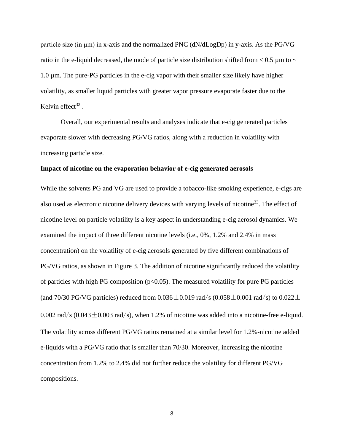particle size (in μm) in x-axis and the normalized PNC (dN/dLogDp) in y-axis. As the PG/VG ratio in the e-liquid decreased, the mode of particle size distribution shifted from  $< 0.5 \mu m$  to  $\sim$ 1.0 µm. The pure-PG particles in the e-cig vapor with their smaller size likely have higher volatility, as smaller liquid particles with greater vapor pressure evaporate faster due to the Kelvin effect $32$ .

Overall, our experimental results and analyses indicate that e-cig generated particles evaporate slower with decreasing PG/VG ratios, along with a reduction in volatility with increasing particle size.

### **Impact of nicotine on the evaporation behavior of e-cig generated aerosols**

While the solvents PG and VG are used to provide a tobacco-like smoking experience, e-cigs are also used as electronic nicotine delivery devices with varying levels of nicotine<sup>33</sup>. The effect of nicotine level on particle volatility is a key aspect in understanding e-cig aerosol dynamics. We examined the impact of three different nicotine levels (i.e., 0%, 1.2% and 2.4% in mass concentration) on the volatility of e-cig aerosols generated by five different combinations of PG/VG ratios, as shown in Figure 3. The addition of nicotine significantly reduced the volatility of particles with high PG composition ( $p<0.05$ ). The measured volatility for pure PG particles (and 70/30 PG/VG particles) reduced from  $0.036 \pm 0.019$  rad/s ( $0.058 \pm 0.001$  rad/s) to  $0.022 \pm 0.001$ 0.002 rad/s (0.043 $\pm$ 0.003 rad/s), when 1.2% of nicotine was added into a nicotine-free e-liquid. The volatility across different PG/VG ratios remained at a similar level for 1.2%-nicotine added e-liquids with a PG/VG ratio that is smaller than 70/30. Moreover, increasing the nicotine concentration from 1.2% to 2.4% did not further reduce the volatility for different PG/VG compositions.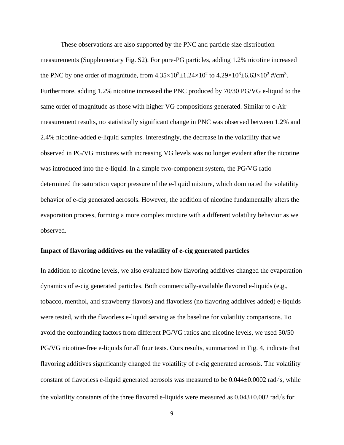These observations are also supported by the PNC and particle size distribution measurements (Supplementary Fig. S2). For pure-PG particles, adding 1.2% nicotine increased the PNC by one order of magnitude, from  $4.35 \times 10^2 \pm 1.24 \times 10^2$  to  $4.29 \times 10^3 \pm 6.63 \times 10^2$  #/cm<sup>3</sup>. Furthermore, adding 1.2% nicotine increased the PNC produced by 70/30 PG/VG e-liquid to the same order of magnitude as those with higher VG compositions generated. Similar to c-Air measurement results, no statistically significant change in PNC was observed between 1.2% and 2.4% nicotine-added e-liquid samples. Interestingly, the decrease in the volatility that we observed in PG/VG mixtures with increasing VG levels was no longer evident after the nicotine was introduced into the e-liquid. In a simple two-component system, the PG/VG ratio determined the saturation vapor pressure of the e-liquid mixture, which dominated the volatility behavior of e-cig generated aerosols. However, the addition of nicotine fundamentally alters the evaporation process, forming a more complex mixture with a different volatility behavior as we observed.

#### **Impact of flavoring additives on the volatility of e-cig generated particles**

In addition to nicotine levels, we also evaluated how flavoring additives changed the evaporation dynamics of e-cig generated particles. Both commercially-available flavored e-liquids (e.g., tobacco, menthol, and strawberry flavors) and flavorless (no flavoring additives added) e-liquids were tested, with the flavorless e-liquid serving as the baseline for volatility comparisons. To avoid the confounding factors from different PG/VG ratios and nicotine levels, we used 50/50 PG/VG nicotine-free e-liquids for all four tests. Ours results, summarized in Fig. 4, indicate that flavoring additives significantly changed the volatility of e-cig generated aerosols. The volatility constant of flavorless e-liquid generated aerosols was measured to be  $0.044 \pm 0.0002$  rad/s, while the volatility constants of the three flavored e-liquids were measured as  $0.043\pm0.002$  rad/s for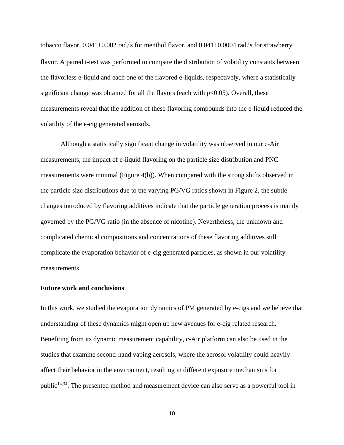tobacco flavor,  $0.041\pm0.002$  rad/s for menthol flavor, and  $0.041\pm0.0004$  rad/s for strawberry flavor. A paired t-test was performed to compare the distribution of volatility constants between the flavorless e-liquid and each one of the flavored e-liquids, respectively, where a statistically significant change was obtained for all the flavors (each with  $p<0.05$ ). Overall, these measurements reveal that the addition of these flavoring compounds into the e-liquid reduced the volatility of the e-cig generated aerosols.

Although a statistically significant change in volatility was observed in our c-Air measurements, the impact of e-liquid flavoring on the particle size distribution and PNC measurements were minimal (Figure 4(b)). When compared with the strong shifts observed in the particle size distributions due to the varying PG/VG ratios shown in Figure 2, the subtle changes introduced by flavoring additives indicate that the particle generation process is mainly governed by the PG/VG ratio (in the absence of nicotine). Nevertheless, the unknown and complicated chemical compositions and concentrations of these flavoring additives still complicate the evaporation behavior of e-cig generated particles, as shown in our volatility measurements.

### **Future work and conclusions**

In this work, we studied the evaporation dynamics of PM generated by e-cigs and we believe that understanding of these dynamics might open up new avenues for e-cig related research. Benefiting from its dynamic measurement capability, c-Air platform can also be used in the studies that examine second-hand vaping aerosols, where the aerosol volatility could heavily affect their behavior in the environment, resulting in different exposure mechanisms for public<sup>14,34</sup>. The presented method and measurement device can also serve as a powerful tool in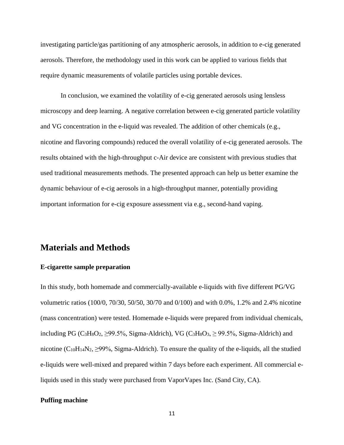investigating particle/gas partitioning of any atmospheric aerosols, in addition to e-cig generated aerosols. Therefore, the methodology used in this work can be applied to various fields that require dynamic measurements of volatile particles using portable devices.

In conclusion, we examined the volatility of e-cig generated aerosols using lensless microscopy and deep learning. A negative correlation between e-cig generated particle volatility and VG concentration in the e-liquid was revealed. The addition of other chemicals (e.g., nicotine and flavoring compounds) reduced the overall volatility of e-cig generated aerosols. The results obtained with the high-throughput c-Air device are consistent with previous studies that used traditional measurements methods. The presented approach can help us better examine the dynamic behaviour of e-cig aerosols in a high-throughput manner, potentially providing important information for e-cig exposure assessment via e.g., second-hand vaping.

### **Materials and Methods**

### **E-cigarette sample preparation**

In this study, both homemade and commercially-available e-liquids with five different PG/VG volumetric ratios (100/0, 70/30, 50/50, 30/70 and 0/100) and with 0.0%, 1.2% and 2.4% nicotine (mass concentration) were tested. Homemade e-liquids were prepared from individual chemicals, including PG (C<sub>3</sub>H<sub>8</sub>O<sub>2</sub>,  $\geq$ 99.5%, Sigma-Aldrich), VG (C<sub>3</sub>H<sub>8</sub>O<sub>3</sub>,  $\geq$  99.5%, Sigma-Aldrich) and nicotine (C<sub>10</sub>H<sub>14</sub>N<sub>2</sub>,  $\geq$ 99%, Sigma-Aldrich). To ensure the quality of the e-liquids, all the studied e-liquids were well-mixed and prepared within 7 days before each experiment. All commercial eliquids used in this study were purchased from VaporVapes Inc. (Sand City, CA).

### **Puffing machine**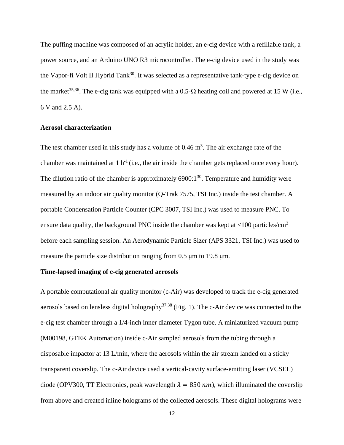The puffing machine was composed of an acrylic holder, an e-cig device with a refillable tank, a power source, and an Arduino UNO R3 microcontroller. The e-cig device used in the study was the Vapor-fi Volt II Hybrid Tank<sup>30</sup>. It was selected as a representative tank-type e-cig device on the market<sup>35,36</sup>. The e-cig tank was equipped with a 0.5- $\Omega$  heating coil and powered at 15 W (i.e., 6 V and 2.5 A).

#### **Aerosol characterization**

The test chamber used in this study has a volume of  $0.46 \text{ m}^3$ . The air exchange rate of the chamber was maintained at  $1 h^{-1}$  (i.e., the air inside the chamber gets replaced once every hour). The dilution ratio of the chamber is approximately  $6900:1^{30}$ . Temperature and humidity were measured by an indoor air quality monitor (Q-Trak 7575, TSI Inc.) inside the test chamber. A portable Condensation Particle Counter (CPC 3007, TSI Inc.) was used to measure PNC. To ensure data quality, the background PNC inside the chamber was kept at  $\langle 100 \text{ particles/cm}^3 \rangle$ before each sampling session. An Aerodynamic Particle Sizer (APS 3321, TSI Inc.) was used to measure the particle size distribution ranging from 0.5 μm to 19.8 μm.

### **Time-lapsed imaging of e-cig generated aerosols**

A portable computational air quality monitor (c-Air) was developed to track the e-cig generated aerosols based on lensless digital holography<sup>37,38</sup> (Fig. 1). The c-Air device was connected to the e-cig test chamber through a 1/4-inch inner diameter Tygon tube. A miniaturized vacuum pump (M00198, GTEK Automation) inside c-Air sampled aerosols from the tubing through a disposable impactor at 13 L/min, where the aerosols within the air stream landed on a sticky transparent coverslip. The c-Air device used a vertical-cavity surface-emitting laser (VCSEL) diode (OPV300, TT Electronics, peak wavelength  $\lambda = 850 \text{ nm}$ ), which illuminated the coverslip from above and created inline holograms of the collected aerosols. These digital holograms were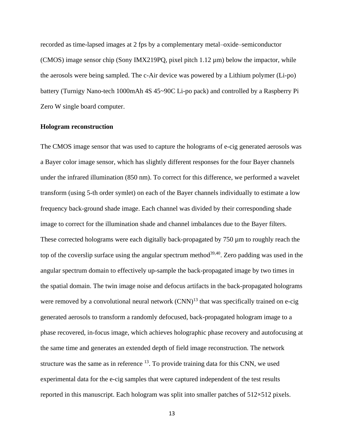recorded as time-lapsed images at 2 fps by a complementary metal–oxide–semiconductor (CMOS) image sensor chip (Sony IMX219PQ, pixel pitch  $1.12 \mu m$ ) below the impactor, while the aerosols were being sampled. The c-Air device was powered by a Lithium polymer (Li-po) battery (Turnigy Nano-tech 1000mAh 4S 45~90C Li-po pack) and controlled by a Raspberry Pi Zero W single board computer.

#### **Hologram reconstruction**

The CMOS image sensor that was used to capture the holograms of e-cig generated aerosols was a Bayer color image sensor, which has slightly different responses for the four Bayer channels under the infrared illumination (850 nm). To correct for this difference, we performed a wavelet transform (using 5-th order symlet) on each of the Bayer channels individually to estimate a low frequency back-ground shade image. Each channel was divided by their corresponding shade image to correct for the illumination shade and channel imbalances due to the Bayer filters. These corrected holograms were each digitally back-propagated by 750 µm to roughly reach the top of the coverslip surface using the angular spectrum method<sup>39,40</sup>. Zero padding was used in the angular spectrum domain to effectively up-sample the back-propagated image by two times in the spatial domain. The twin image noise and defocus artifacts in the back-propagated holograms were removed by a convolutional neural network  $(CNN)^{13}$  that was specifically trained on e-cig generated aerosols to transform a randomly defocused, back-propagated hologram image to a phase recovered, in-focus image, which achieves holographic phase recovery and autofocusing at the same time and generates an extended depth of field image reconstruction. The network structure was the same as in reference  $13$ . To provide training data for this CNN, we used experimental data for the e-cig samples that were captured independent of the test results reported in this manuscript. Each hologram was split into smaller patches of 512×512 pixels.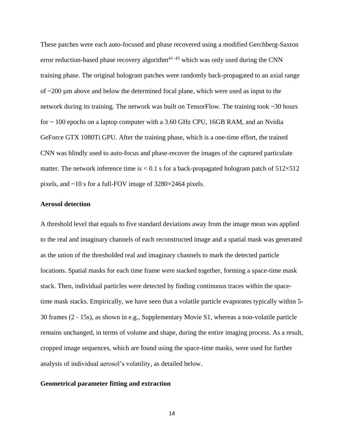These patches were each auto-focused and phase recovered using a modified Gerchberg-Saxton error reduction-based phase recovery algorithm<sup>41–43</sup> which was only used during the CNN training phase. The original hologram patches were randomly back-propagated to an axial range of ~200 µm above and below the determined focal plane, which were used as input to the network during its training. The network was built on TensorFlow. The training took ~30 hours for ~ 100 epochs on a laptop computer with a 3.60 GHz CPU, 16GB RAM, and an Nvidia GeForce GTX 1080Ti GPU. After the training phase, which is a one-time effort, the trained CNN was blindly used to auto-focus and phase-recover the images of the captured particulate matter. The network inference time is  $< 0.1$  s for a back-propagated hologram patch of  $512 \times 512$ pixels, and ~10 s for a full-FOV image of 3280×2464 pixels.

### **Aerosol detection**

A threshold level that equals to five standard deviations away from the image mean was applied to the real and imaginary channels of each reconstructed image and a spatial mask was generated as the union of the thresholded real and imaginary channels to mark the detected particle locations. Spatial masks for each time frame were stacked together, forming a space-time mask stack. Then, individual particles were detected by finding continuous traces within the spacetime mask stacks. Empirically, we have seen that a volatile particle evaporates typically within 5- 30 frames (2 - 15s), as shown in e.g., Supplementary Movie S1, whereas a non-volatile particle remains unchanged, in terms of volume and shape, during the entire imaging process. As a result, cropped image sequences, which are found using the space-time masks, were used for further analysis of individual aerosol's volatility, as detailed below.

#### **Geometrical parameter fitting and extraction**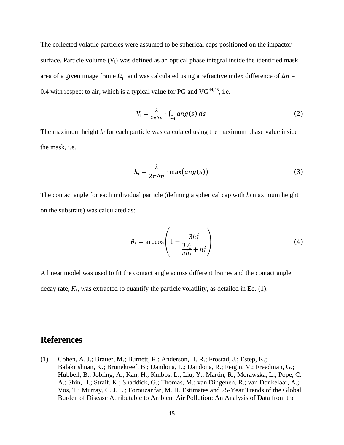The collected volatile particles were assumed to be spherical caps positioned on the impactor surface. Particle volume  $(V_i)$  was defined as an optical phase integral inside the identified mask area of a given image frame  $\Omega_i$ , and was calculated using a refractive index difference of  $\Delta n =$ 0.4 with respect to air, which is a typical value for PG and  $VG^{44,45}$ , i.e.

$$
V_i = \frac{\lambda}{2\pi\Delta n} \cdot \int_{\Omega_i} ang(s) \, ds \tag{2}
$$

The maximum height *h<sup>i</sup>* for each particle was calculated using the maximum phase value inside the mask, i.e.

$$
h_i = \frac{\lambda}{2\pi\Delta n} \cdot \max(ang(s))
$$
\n(3)

The contact angle for each individual particle (defining a spherical cap with *h<sup>i</sup>* maximum height on the substrate) was calculated as:

$$
\theta_i = \arccos\left(1 - \frac{3h_i^2}{\frac{3V_i}{\pi h_i} + h_i^2}\right) \tag{4}
$$

A linear model was used to fit the contact angle across different frames and the contact angle

decay rate,  $K_i$ , was extracted to quantify the particle volatility, as detailed in Eq. (1).

### **References**

(1) Cohen, A. J.; Brauer, M.; Burnett, R.; Anderson, H. R.; Frostad, J.; Estep, K.; Balakrishnan, K.; Brunekreef, B.; Dandona, L.; Dandona, R.; Feigin, V.; Freedman, G.; Hubbell, B.; Jobling, A.; Kan, H.; Knibbs, L.; Liu, Y.; Martin, R.; Morawska, L.; Pope, C. A.; Shin, H.; Straif, K.; Shaddick, G.; Thomas, M.; van Dingenen, R.; van Donkelaar, A.; Vos, T.; Murray, C. J. L.; Forouzanfar, M. H. Estimates and 25-Year Trends of the Global Burden of Disease Attributable to Ambient Air Pollution: An Analysis of Data from the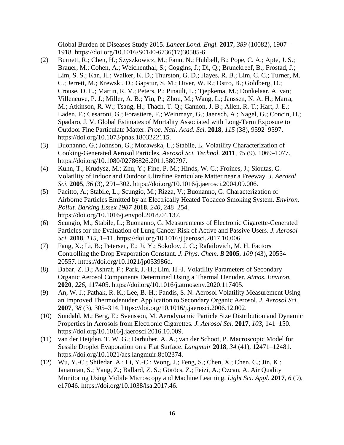Global Burden of Diseases Study 2015. *Lancet Lond. Engl.* **2017**, *389* (10082), 1907– 1918. https://doi.org/10.1016/S0140-6736(17)30505-6.

- (2) Burnett, R.; Chen, H.; Szyszkowicz, M.; Fann, N.; Hubbell, B.; Pope, C. A.; Apte, J. S.; Brauer, M.; Cohen, A.; Weichenthal, S.; Coggins, J.; Di, Q.; Brunekreef, B.; Frostad, J.; Lim, S. S.; Kan, H.; Walker, K. D.; Thurston, G. D.; Hayes, R. B.; Lim, C. C.; Turner, M. C.; Jerrett, M.; Krewski, D.; Gapstur, S. M.; Diver, W. R.; Ostro, B.; Goldberg, D.; Crouse, D. L.; Martin, R. V.; Peters, P.; Pinault, L.; Tjepkema, M.; Donkelaar, A. van; Villeneuve, P. J.; Miller, A. B.; Yin, P.; Zhou, M.; Wang, L.; Janssen, N. A. H.; Marra, M.; Atkinson, R. W.; Tsang, H.; Thach, T. Q.; Cannon, J. B.; Allen, R. T.; Hart, J. E.; Laden, F.; Cesaroni, G.; Forastiere, F.; Weinmayr, G.; Jaensch, A.; Nagel, G.; Concin, H.; Spadaro, J. V. Global Estimates of Mortality Associated with Long-Term Exposure to Outdoor Fine Particulate Matter. *Proc. Natl. Acad. Sci.* **2018**, *115* (38), 9592–9597. https://doi.org/10.1073/pnas.1803222115.
- (3) Buonanno, G.; Johnson, G.; Morawska, L.; Stabile, L. Volatility Characterization of Cooking-Generated Aerosol Particles. *Aerosol Sci. Technol.* **2011**, *45* (9), 1069–1077. https://doi.org/10.1080/02786826.2011.580797.
- (4) Kuhn, T.; Krudysz, M.; Zhu, Y.; Fine, P. M.; Hinds, W. C.; Froines, J.; Sioutas, C. Volatility of Indoor and Outdoor Ultrafine Particulate Matter near a Freeway. *J. Aerosol Sci.* **2005**, *36* (3), 291–302. https://doi.org/10.1016/j.jaerosci.2004.09.006.
- (5) Pacitto, A.; Stabile, L.; Scungio, M.; Rizza, V.; Buonanno, G. Characterization of Airborne Particles Emitted by an Electrically Heated Tobacco Smoking System. *Environ. Pollut. Barking Essex 1987* **2018**, *240*, 248–254. https://doi.org/10.1016/j.envpol.2018.04.137.
- (6) Scungio, M.; Stabile, L.; Buonanno, G. Measurements of Electronic Cigarette-Generated Particles for the Evaluation of Lung Cancer Risk of Active and Passive Users. *J. Aerosol Sci.* **2018**, *115*, 1–11. https://doi.org/10.1016/j.jaerosci.2017.10.006.
- (7) Fang, X.; Li, B.; Petersen, E.; Ji, Y.; Sokolov, J. C.; Rafailovich, M. H. Factors Controlling the Drop Evaporation Constant. *J. Phys. Chem. B* **2005**, *109* (43), 20554– 20557. https://doi.org/10.1021/jp053986d.
- (8) Babar, Z. B.; Ashraf, F.; Park, J.-H.; Lim, H.-J. Volatility Parameters of Secondary Organic Aerosol Components Determined Using a Thermal Denuder. *Atmos. Environ.* **2020**, *226*, 117405. https://doi.org/10.1016/j.atmosenv.2020.117405.
- (9) An, W. J.; Pathak, R. K.; Lee, B.-H.; Pandis, S. N. Aerosol Volatility Measurement Using an Improved Thermodenuder: Application to Secondary Organic Aerosol. *J. Aerosol Sci.* **2007**, *38* (3), 305–314. https://doi.org/10.1016/j.jaerosci.2006.12.002.
- (10) Sundahl, M.; Berg, E.; Svensson, M. Aerodynamic Particle Size Distribution and Dynamic Properties in Aerosols from Electronic Cigarettes. *J. Aerosol Sci.* **2017**, *103*, 141–150. https://doi.org/10.1016/j.jaerosci.2016.10.009.
- (11) van der Heijden, T. W. G.; Darhuber, A. A.; van der Schoot, P. Macroscopic Model for Sessile Droplet Evaporation on a Flat Surface. *Langmuir* **2018**, *34* (41), 12471–12481. https://doi.org/10.1021/acs.langmuir.8b02374.
- (12) Wu, Y.-C.; Shiledar, A.; Li, Y.-C.; Wong, J.; Feng, S.; Chen, X.; Chen, C.; Jin, K.; Janamian, S.; Yang, Z.; Ballard, Z. S.; Göröcs, Z.; Feizi, A.; Ozcan, A. Air Quality Monitoring Using Mobile Microscopy and Machine Learning. *Light Sci. Appl.* **2017**, *6* (9), e17046. https://doi.org/10.1038/lsa.2017.46.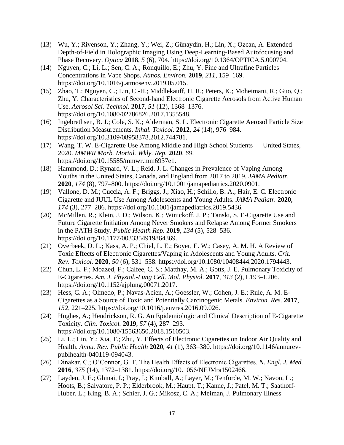- (13) Wu, Y.; Rivenson, Y.; Zhang, Y.; Wei, Z.; Günaydin, H.; Lin, X.; Ozcan, A. Extended Depth-of-Field in Holographic Imaging Using Deep-Learning-Based Autofocusing and Phase Recovery. *Optica* **2018**, *5* (6), 704. https://doi.org/10.1364/OPTICA.5.000704.
- (14) Nguyen, C.; Li, L.; Sen, C. A.; Ronquillo, E.; Zhu, Y. Fine and Ultrafine Particles Concentrations in Vape Shops. *Atmos. Environ.* **2019**, *211*, 159–169. https://doi.org/10.1016/j.atmosenv.2019.05.015.
- (15) Zhao, T.; Nguyen, C.; Lin, C.-H.; Middlekauff, H. R.; Peters, K.; Moheimani, R.; Guo, Q.; Zhu, Y. Characteristics of Second-hand Electronic Cigarette Aerosols from Active Human Use. *Aerosol Sci. Technol.* **2017**, *51* (12), 1368–1376. https://doi.org/10.1080/02786826.2017.1355548.
- (16) Ingebrethsen, B. J.; Cole, S. K.; Alderman, S. L. Electronic Cigarette Aerosol Particle Size Distribution Measurements. *Inhal. Toxicol.* **2012**, *24* (14), 976–984. https://doi.org/10.3109/08958378.2012.744781.
- (17) Wang, T. W. E-Cigarette Use Among Middle and High School Students United States, 2020. *MMWR Morb. Mortal. Wkly. Rep.* **2020**, *69*. https://doi.org/10.15585/mmwr.mm6937e1.
- (18) Hammond, D.; Rynard, V. L.; Reid, J. L. Changes in Prevalence of Vaping Among Youths in the United States, Canada, and England from 2017 to 2019. *JAMA Pediatr.* **2020**, *174* (8), 797–800. https://doi.org/10.1001/jamapediatrics.2020.0901.
- (19) Vallone, D. M.; Cuccia, A. F.; Briggs, J.; Xiao, H.; Schillo, B. A.; Hair, E. C. Electronic Cigarette and JUUL Use Among Adolescents and Young Adults. *JAMA Pediatr.* **2020**, *174* (3), 277–286. https://doi.org/10.1001/jamapediatrics.2019.5436.
- (20) McMillen, R.; Klein, J. D.; Wilson, K.; Winickoff, J. P.; Tanski, S. E-Cigarette Use and Future Cigarette Initiation Among Never Smokers and Relapse Among Former Smokers in the PATH Study. *Public Health Rep.* **2019**, *134* (5), 528–536. https://doi.org/10.1177/0033354919864369.
- (21) Overbeek, D. L.; Kass, A. P.; Chiel, L. E.; Boyer, E. W.; Casey, A. M. H. A Review of Toxic Effects of Electronic Cigarettes/Vaping in Adolescents and Young Adults. *Crit. Rev. Toxicol.* **2020**, *50* (6), 531–538. https://doi.org/10.1080/10408444.2020.1794443.
- (22) Chun, L. F.; Moazed, F.; Calfee, C. S.; Matthay, M. A.; Gotts, J. E. Pulmonary Toxicity of E-Cigarettes. *Am. J. Physiol.-Lung Cell. Mol. Physiol.* **2017**, *313* (2), L193–L206. https://doi.org/10.1152/ajplung.00071.2017.
- (23) Hess, C. A.; Olmedo, P.; Navas-Acien, A.; Goessler, W.; Cohen, J. E.; Rule, A. M. E-Cigarettes as a Source of Toxic and Potentially Carcinogenic Metals. *Environ. Res.* **2017**, *152*, 221–225. https://doi.org/10.1016/j.envres.2016.09.026.
- (24) Hughes, A.; Hendrickson, R. G. An Epidemiologic and Clinical Description of E-Cigarette Toxicity. *Clin. Toxicol.* **2019**, *57* (4), 287–293. https://doi.org/10.1080/15563650.2018.1510503.
- (25) Li, L.; Lin, Y.; Xia, T.; Zhu, Y. Effects of Electronic Cigarettes on Indoor Air Quality and Health. *Annu. Rev. Public Health* **2020**, *41* (1), 363–380. https://doi.org/10.1146/annurevpublhealth-040119-094043.
- (26) Dinakar, C.; O'Connor, G. T. The Health Effects of Electronic Cigarettes. *N. Engl. J. Med.* **2016**, *375* (14), 1372–1381. https://doi.org/10.1056/NEJMra1502466.
- (27) Layden, J. E.; Ghinai, I.; Pray, I.; Kimball, A.; Layer, M.; Tenforde, M. W.; Navon, L.; Hoots, B.; Salvatore, P. P.; Elderbrook, M.; Haupt, T.; Kanne, J.; Patel, M. T.; Saathoff-Huber, L.; King, B. A.; Schier, J. G.; Mikosz, C. A.; Meiman, J. Pulmonary Illness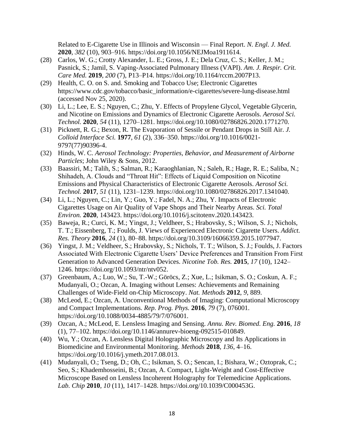Related to E-Cigarette Use in Illinois and Wisconsin — Final Report. *N. Engl. J. Med.* **2020**, *382* (10), 903–916. https://doi.org/10.1056/NEJMoa1911614.

- (28) Carlos, W. G.; Crotty Alexander, L. E.; Gross, J. E.; Dela Cruz, C. S.; Keller, J. M.; Pasnick, S.; Jamil, S. Vaping-Associated Pulmonary Illness (VAPI). *Am. J. Respir. Crit. Care Med.* **2019**, *200* (7), P13–P14. https://doi.org/10.1164/rccm.2007P13.
- (29) Health, C. O. on S. and. Smoking and Tobacco Use; Electronic Cigarettes https://www.cdc.gov/tobacco/basic\_information/e-cigarettes/severe-lung-disease.html (accessed Nov 25, 2020).
- (30) Li, L.; Lee, E. S.; Nguyen, C.; Zhu, Y. Effects of Propylene Glycol, Vegetable Glycerin, and Nicotine on Emissions and Dynamics of Electronic Cigarette Aerosols. *Aerosol Sci. Technol.* **2020**, *54* (11), 1270–1281. https://doi.org/10.1080/02786826.2020.1771270.
- (31) Picknett, R. G.; Bexon, R. The Evaporation of Sessile or Pendant Drops in Still Air. *J. Colloid Interface Sci.* **1977**, *61* (2), 336–350. https://doi.org/10.1016/0021- 9797(77)90396-4.
- (32) Hinds, W. C. *Aerosol Technology: Properties, Behavior, and Measurement of Airborne Particles*; John Wiley & Sons, 2012.
- (33) Baassiri, M.; Talih, S.; Salman, R.; Karaoghlanian, N.; Saleh, R.; Hage, R. E.; Saliba, N.; Shihadeh, A. Clouds and "Throat Hit": Effects of Liquid Composition on Nicotine Emissions and Physical Characteristics of Electronic Cigarette Aerosols. *Aerosol Sci. Technol.* **2017**, *51* (11), 1231–1239. https://doi.org/10.1080/02786826.2017.1341040.
- (34) Li, L.; Nguyen, C.; Lin, Y.; Guo, Y.; Fadel, N. A.; Zhu, Y. Impacts of Electronic Cigarettes Usage on Air Quality of Vape Shops and Their Nearby Areas. *Sci. Total Environ.* **2020**, 143423. https://doi.org/10.1016/j.scitotenv.2020.143423.
- (35) Baweja, R.; Curci, K. M.; Yingst, J.; Veldheer, S.; Hrabovsky, S.; Wilson, S. J.; Nichols, T. T.; Eissenberg, T.; Foulds, J. Views of Experienced Electronic Cigarette Users. *Addict. Res. Theory* **2016**, *24* (1), 80–88. https://doi.org/10.3109/16066359.2015.1077947.
- (36) Yingst, J. M.; Veldheer, S.; Hrabovsky, S.; Nichols, T. T.; Wilson, S. J.; Foulds, J. Factors Associated With Electronic Cigarette Users' Device Preferences and Transition From First Generation to Advanced Generation Devices. *Nicotine Tob. Res.* **2015**, *17* (10), 1242– 1246. https://doi.org/10.1093/ntr/ntv052.
- (37) Greenbaum, A.; Luo, W.; Su, T.-W.; Göröcs, Z.; Xue, L.; Isikman, S. O.; Coskun, A. F.; Mudanyali, O.; Ozcan, A. Imaging without Lenses: Achievements and Remaining Challenges of Wide-Field on-Chip Microscopy. *Nat. Methods* **2012**, *9*, 889.
- (38) McLeod, E.; Ozcan, A. Unconventional Methods of Imaging: Computational Microscopy and Compact Implementations. *Rep. Prog. Phys.* **2016**, *79* (7), 076001. https://doi.org/10.1088/0034-4885/79/7/076001.
- (39) Ozcan, A.; McLeod, E. Lensless Imaging and Sensing. *Annu. Rev. Biomed. Eng.* **2016**, *18* (1), 77–102. https://doi.org/10.1146/annurev-bioeng-092515-010849.
- (40) Wu, Y.; Ozcan, A. Lensless Digital Holographic Microscopy and Its Applications in Biomedicine and Environmental Monitoring. *Methods* **2018**, *136*, 4–16. https://doi.org/10.1016/j.ymeth.2017.08.013.
- (41) Mudanyali, O.; Tseng, D.; Oh, C.; Isikman, S. O.; Sencan, I.; Bishara, W.; Oztoprak, C.; Seo, S.; Khademhosseini, B.; Ozcan, A. Compact, Light-Weight and Cost-Effective Microscope Based on Lensless Incoherent Holography for Telemedicine Applications. *Lab. Chip* **2010**, *10* (11), 1417–1428. https://doi.org/10.1039/C000453G.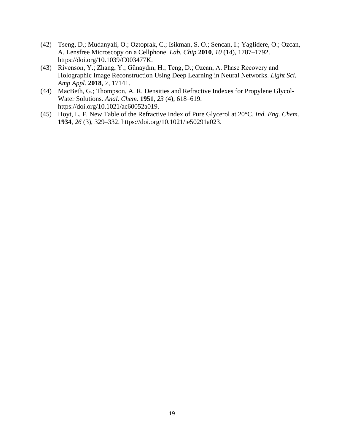- (42) Tseng, D.; Mudanyali, O.; Oztoprak, C.; Isikman, S. O.; Sencan, I.; Yaglidere, O.; Ozcan, A. Lensfree Microscopy on a Cellphone. *Lab. Chip* **2010**, *10* (14), 1787–1792. https://doi.org/10.1039/C003477K.
- (43) Rivenson, Y.; Zhang, Y.; Günaydın, H.; Teng, D.; Ozcan, A. Phase Recovery and Holographic Image Reconstruction Using Deep Learning in Neural Networks. *Light Sci. Amp Appl.* **2018**, *7*, 17141.
- (44) MacBeth, G.; Thompson, A. R. Densities and Refractive Indexes for Propylene Glycol-Water Solutions. *Anal. Chem.* **1951**, *23* (4), 618–619. https://doi.org/10.1021/ac60052a019.
- (45) Hoyt, L. F. New Table of the Refractive Index of Pure Glycerol at 20°C. *Ind. Eng. Chem.* **1934**, *26* (3), 329–332. https://doi.org/10.1021/ie50291a023.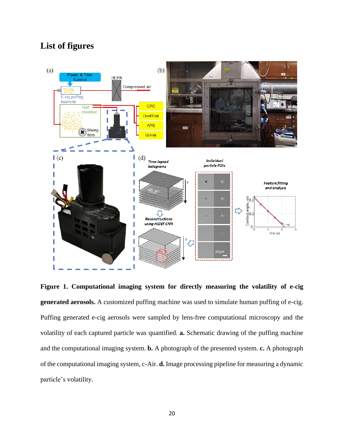## **List of figures**



**Figure 1. Computational imaging system for directly measuring the volatility of e-cig generated aerosols.** A customized puffing machine was used to simulate human puffing of e-cig. Puffing generated e-cig aerosols were sampled by lens-free computational microscopy and the volatility of each captured particle was quantified. **a.** Schematic drawing of the puffing machine and the computational imaging system. **b.** A photograph of the presented system. **c.** A photograph of the computational imaging system, c-Air. **d.** Image processing pipeline for measuring a dynamic particle's volatility.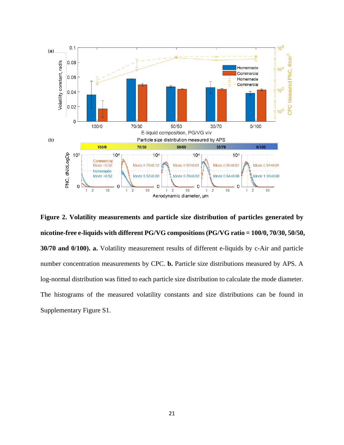

**Figure 2. Volatility measurements and particle size distribution of particles generated by nicotine-free e-liquids with different PG/VG compositions(PG/VG ratio = 100/0, 70/30, 50/50, 30/70 and 0/100). a.** Volatility measurement results of different e-liquids by c-Air and particle number concentration measurements by CPC. **b.** Particle size distributions measured by APS. A log-normal distribution was fitted to each particle size distribution to calculate the mode diameter. The histograms of the measured volatility constants and size distributions can be found in Supplementary Figure S1.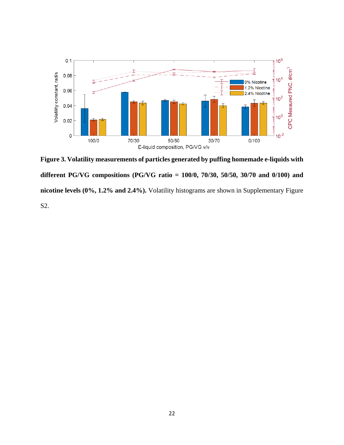

**Figure 3. Volatility measurements of particles generated by puffing homemade e-liquids with different PG/VG compositions (PG/VG ratio = 100/0, 70/30, 50/50, 30/70 and 0/100) and nicotine levels (0%, 1.2% and 2.4%).** Volatility histograms are shown in Supplementary Figure S2.